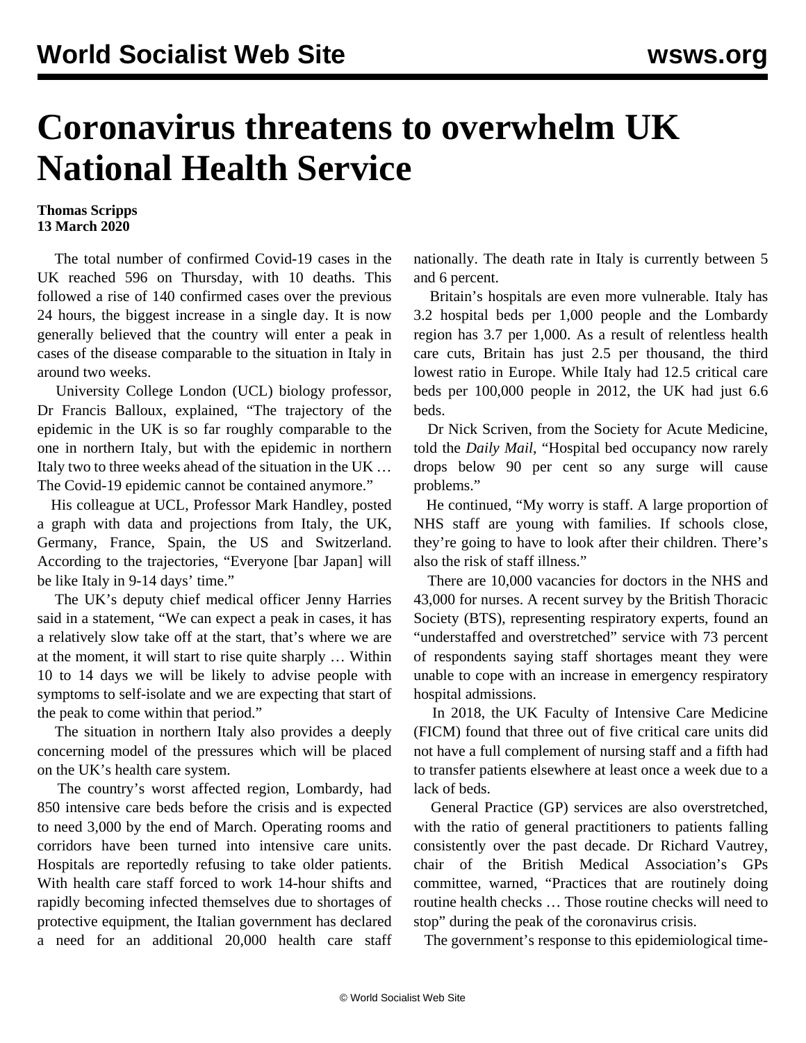## **Coronavirus threatens to overwhelm UK National Health Service**

## **Thomas Scripps 13 March 2020**

 The total number of confirmed Covid-19 cases in the UK reached 596 on Thursday, with 10 deaths. This followed a rise of 140 confirmed cases over the previous 24 hours, the biggest increase in a single day. It is now generally believed that the country will enter a peak in cases of the disease comparable to the situation in Italy in around two weeks.

 University College London (UCL) biology professor, Dr Francis Balloux, explained, "The trajectory of the epidemic in the UK is so far roughly comparable to the one in northern Italy, but with the epidemic in northern Italy two to three weeks ahead of the situation in the UK … The Covid-19 epidemic cannot be contained anymore."

 His colleague at UCL, Professor Mark Handley, posted a graph with data and projections from Italy, the UK, Germany, France, Spain, the US and Switzerland. According to the trajectories, "Everyone [bar Japan] will be like Italy in 9-14 days' time."

 The UK's deputy chief medical officer Jenny Harries said in a statement, "We can expect a peak in cases, it has a relatively slow take off at the start, that's where we are at the moment, it will start to rise quite sharply … Within 10 to 14 days we will be likely to advise people with symptoms to self-isolate and we are expecting that start of the peak to come within that period."

 The situation in northern Italy also provides a deeply concerning model of the pressures which will be placed on the UK's health care system.

 The country's worst affected region, Lombardy, had 850 intensive care beds before the crisis and is expected to need 3,000 by the end of March. Operating rooms and corridors have been turned into intensive care units. Hospitals are reportedly refusing to take older patients. With health care staff forced to work 14-hour shifts and rapidly becoming infected themselves due to shortages of protective equipment, the Italian government has declared a need for an additional 20,000 health care staff nationally. The death rate in Italy is currently between 5 and 6 percent.

 Britain's hospitals are even more vulnerable. Italy has 3.2 hospital beds per 1,000 people and the Lombardy region has 3.7 per 1,000. As a result of relentless health care cuts, Britain has just 2.5 per thousand, the third lowest ratio in Europe. While Italy had 12.5 critical care beds per 100,000 people in 2012, the UK had just 6.6 beds.

 Dr Nick Scriven, from the Society for Acute Medicine, told the *Daily Mail*, "Hospital bed occupancy now rarely drops below 90 per cent so any surge will cause problems."

 He continued, "My worry is staff. A large proportion of NHS staff are young with families. If schools close, they're going to have to look after their children. There's also the risk of staff illness."

 There are 10,000 vacancies for doctors in the NHS and 43,000 for nurses. A recent survey by the British Thoracic Society (BTS), representing respiratory experts, found an "understaffed and overstretched" service with 73 percent of respondents saying staff shortages meant they were unable to cope with an increase in emergency respiratory hospital admissions.

 In 2018, the UK Faculty of Intensive Care Medicine (FICM) found that three out of five critical care units did not have a full complement of nursing staff and a fifth had to transfer patients elsewhere at least once a week due to a lack of beds.

 General Practice (GP) services are also overstretched, with the ratio of general practitioners to patients falling consistently over the past decade. Dr Richard Vautrey, chair of the British Medical Association's GPs committee, warned, "Practices that are routinely doing routine health checks … Those routine checks will need to stop" during the peak of the coronavirus crisis.

The government's response to this epidemiological time-